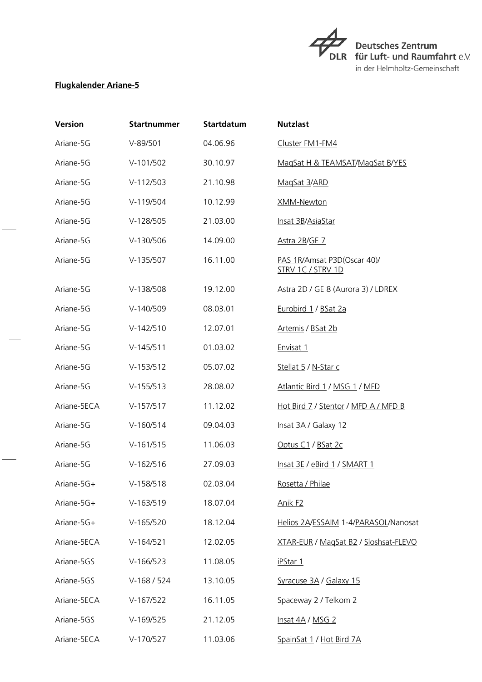$\overrightarrow{\tau_{\scriptscriptstyle{\text{DL}}}}$ Deutsches Zentrum<br>DLR für Luft- und Raumfahrt e.V. in der Helmholtz-Gemeinschaft

## **Flugkalender Ariane-5**

| <b>Version</b> | <b>Startnummer</b> | <b>Startdatum</b> | <b>Nutzlast</b>                                  |
|----------------|--------------------|-------------------|--------------------------------------------------|
| Ariane-5G      | $V-89/501$         | 04.06.96          | Cluster FM1-FM4                                  |
| Ariane-5G      | $V-101/502$        | 30.10.97          | MagSat H & TEAMSAT/MagSat B/YES                  |
| Ariane-5G      | $V-112/503$        | 21.10.98          | MagSat 3/ARD                                     |
| Ariane-5G      | V-119/504          | 10.12.99          | <b>XMM-Newton</b>                                |
| Ariane-5G      | $V-128/505$        | 21.03.00          | Insat 3B/AsiaStar                                |
| Ariane-5G      | $V-130/506$        | 14.09.00          | Astra 2B/GE 7                                    |
| Ariane-5G      | $V-135/507$        | 16.11.00          | PAS 1R/Amsat P3D(Oscar 40)/<br>STRV 1C / STRV 1D |
| Ariane-5G      | V-138/508          | 19.12.00          | Astra 2D / GE 8 (Aurora 3) / LDREX               |
| Ariane-5G      | $V-140/509$        | 08.03.01          | Eurobird 1 / BSat 2a                             |
| Ariane-5G      | $V-142/510$        | 12.07.01          | Artemis / BSat 2b                                |
| Ariane-5G      | $V-145/511$        | 01.03.02          | Envisat 1                                        |
| Ariane-5G      | $V-153/512$        | 05.07.02          | Stellat 5 / N-Star c                             |
| Ariane-5G      | $V-155/513$        | 28.08.02          | Atlantic Bird 1 / MSG 1 / MFD                    |
| Ariane-5ECA    | $V-157/517$        | 11.12.02          | Hot Bird 7 / Stentor / MFD A / MFD B             |
| Ariane-5G      | $V-160/514$        | 09.04.03          | Insat 3A / Galaxy 12                             |
| Ariane-5G      | $V-161/515$        | 11.06.03          | Optus C1 / BSat 2c                               |
| Ariane-5G      | $V-162/516$        | 27.09.03          | Insat 3E / eBird 1 / SMART 1                     |
| Ariane-5G+     | V-158/518          | 02.03.04          | Rosetta / Philae                                 |
| Ariane-5G+     | $V-163/519$        | 18.07.04          | <u>Anik F2</u>                                   |
| Ariane-5G+     | $V-165/520$        | 18.12.04          | Helios 2A/ESSAIM 1-4/PARASOL/Nanosat             |
| Ariane-5ECA    | $V-164/521$        | 12.02.05          | XTAR-EUR / MagSat B2 / Sloshsat-FLEVO            |
| Ariane-5GS     | $V-166/523$        | 11.08.05          | <u>iPStar 1</u>                                  |
| Ariane-5GS     | $V-168/524$        | 13.10.05          | Syracuse 3A / Galaxy 15                          |
| Ariane-5ECA    | $V-167/522$        | 16.11.05          | Spaceway 2 / Telkom 2                            |
| Ariane-5GS     | $V-169/525$        | 21.12.05          | Insat 4A / MSG 2                                 |
| Ariane-5ECA    | V-170/527          | 11.03.06          | SpainSat 1 / Hot Bird 7A                         |